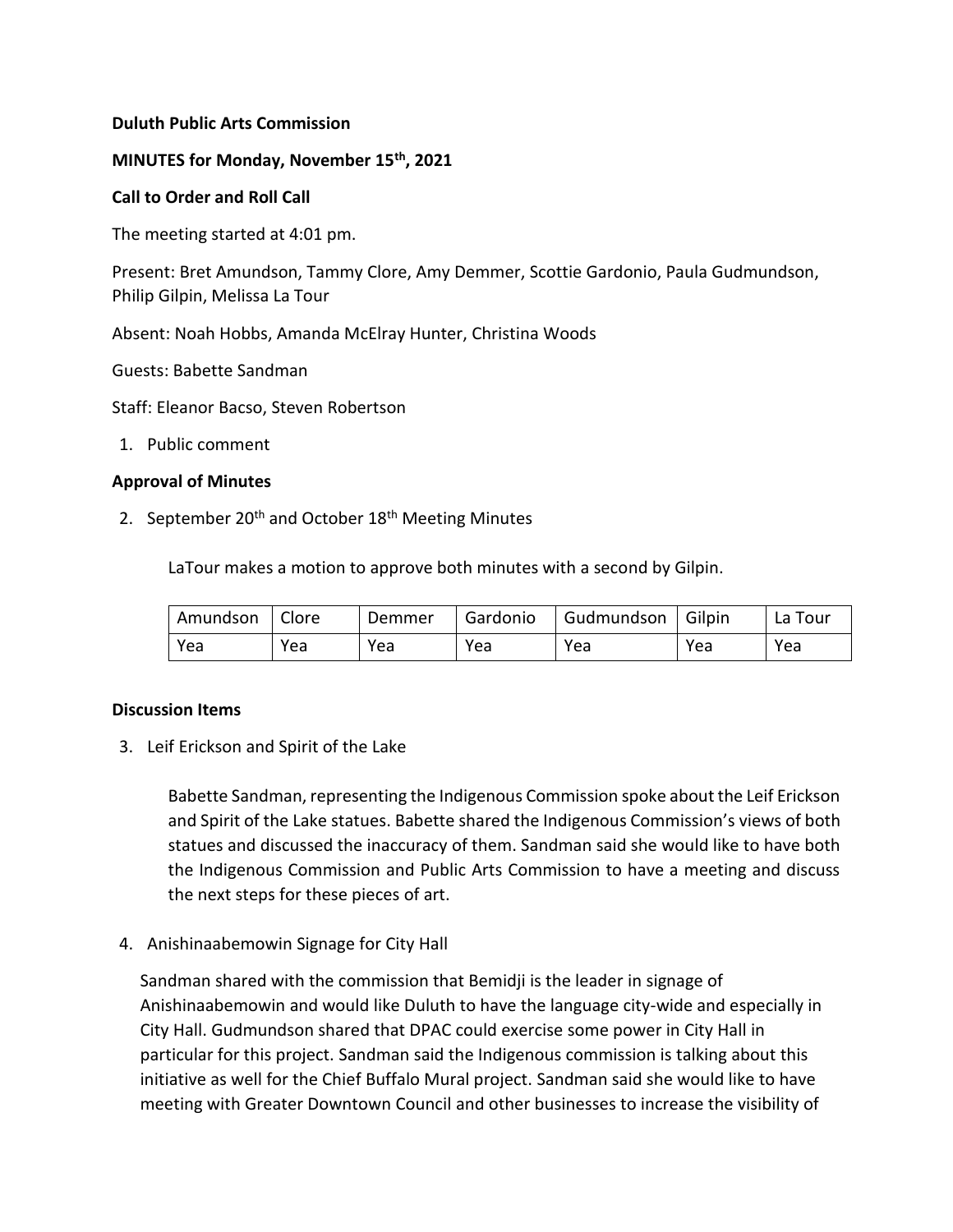# **Duluth Public Arts Commission**

# **MINUTES for Monday, November 15th, 2021**

## **Call to Order and Roll Call**

The meeting started at 4:01 pm.

Present: Bret Amundson, Tammy Clore, Amy Demmer, Scottie Gardonio, Paula Gudmundson, Philip Gilpin, Melissa La Tour

Absent: Noah Hobbs, Amanda McElray Hunter, Christina Woods

Guests: Babette Sandman

Staff: Eleanor Bacso, Steven Robertson

1. Public comment

# **Approval of Minutes**

2. September  $20<sup>th</sup>$  and October  $18<sup>th</sup>$  Meeting Minutes

LaTour makes a motion to approve both minutes with a second by Gilpin.

| Amundson   Clore |     | Demmer | l Gardonio | Gudmundson   Gilpin |     | La Tour |
|------------------|-----|--------|------------|---------------------|-----|---------|
| Yea              | Yea | Yea    | Yea        | Yea                 | Yea | Yea     |

## **Discussion Items**

3. Leif Erickson and Spirit of the Lake

Babette Sandman, representing the Indigenous Commission spoke about the Leif Erickson and Spirit of the Lake statues. Babette shared the Indigenous Commission's views of both statues and discussed the inaccuracy of them. Sandman said she would like to have both the Indigenous Commission and Public Arts Commission to have a meeting and discuss the next steps for these pieces of art.

4. Anishinaabemowin Signage for City Hall

Sandman shared with the commission that Bemidji is the leader in signage of Anishinaabemowin and would like Duluth to have the language city-wide and especially in City Hall. Gudmundson shared that DPAC could exercise some power in City Hall in particular for this project. Sandman said the Indigenous commission is talking about this initiative as well for the Chief Buffalo Mural project. Sandman said she would like to have meeting with Greater Downtown Council and other businesses to increase the visibility of